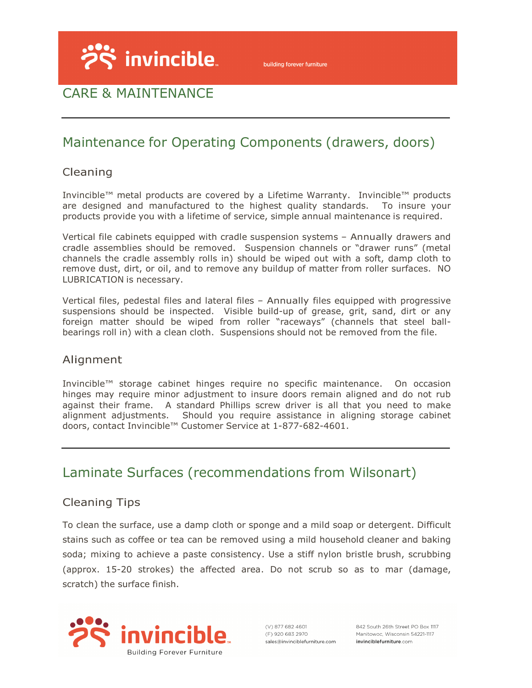

# CARE & MAINTENANCE

# Maintenance for Operating Components (drawers, doors)

### Cleaning

Invincible™ metal products are covered by a Lifetime Warranty. Invincible™ products are designed and manufactured to the highest quality standards. To insure your products provide you with a lifetime of service, simple annual maintenance is required.

Vertical file cabinets equipped with cradle suspension systems – Annually drawers and cradle assemblies should be removed. Suspension channels or "drawer runs" (metal channels the cradle assembly rolls in) should be wiped out with a soft, damp cloth to remove dust, dirt, or oil, and to remove any buildup of matter from roller surfaces. NO LUBRICATION is necessary.

Vertical files, pedestal files and lateral files – Annually files equipped with progressive suspensions should be inspected. Visible build-up of grease, grit, sand, dirt or any foreign matter should be wiped from roller "raceways" (channels that steel ballbearings roll in) with a clean cloth. Suspensions should not be removed from the file.

#### Alignment

Invincible™ storage cabinet hinges require no specific maintenance. On occasion hinges may require minor adjustment to insure doors remain aligned and do not rub against their frame. A standard Phillips screw driver is all that you need to make alignment adjustments. Should you require assistance in aligning storage cabinet doors, contact Invincible™ Customer Service at 1-877-682-4601.

## Laminate Surfaces (recommendations from Wilsonart)

### Cleaning Tips

To clean the surface, use a damp cloth or sponge and a mild soap or detergent. Difficult stains such as coffee or tea can be removed using a mild household cleaner and baking soda; mixing to achieve a paste consistency. Use a stiff nylon bristle brush, scrubbing (approx. 15-20 strokes) the affected area. Do not scrub so as to mar (damage, scratch) the surface finish.



 $(V)$  877 682 4601 (F) 920 683 2970 sales@invinciblefurniture.com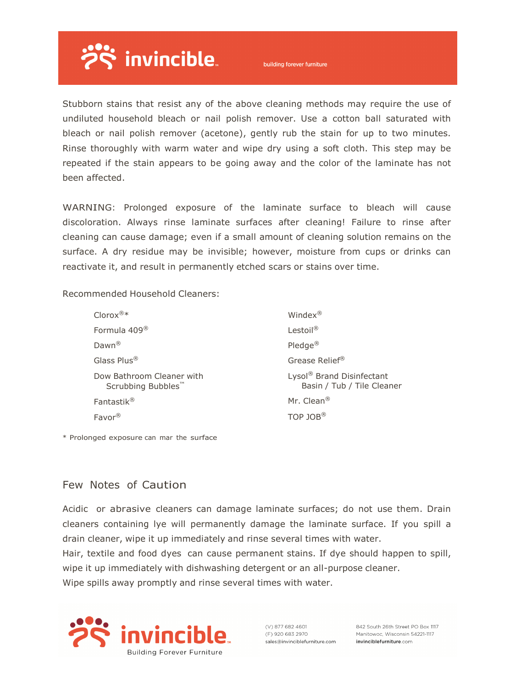

building forever furniture

Stubborn stains that resist any of the above cleaning methods may require the use of undiluted household bleach or nail polish remover. Use a cotton ball saturated with bleach or nail polish remover (acetone), gently rub the stain for up to two minutes. Rinse thoroughly with warm water and wipe dry using a soft cloth. This step may be repeated if the stain appears to be going away and the color of the laminate has not been affected.

WARNING: Prolonged exposure of the laminate surface to bleach will cause discoloration. Always rinse laminate surfaces after cleaning! Failure to rinse after cleaning can cause damage; even if a small amount of cleaning solution remains on the surface. A dry residue may be invisible; however, moisture from cups or drinks can reactivate it, and result in permanently etched scars or stains over time.

Recommended Household Cleaners:

| $Clorox^{\circledR}*$                                       | Windex <sup>®</sup>                                                 |
|-------------------------------------------------------------|---------------------------------------------------------------------|
| Formula 409 <sup>®</sup>                                    | Lestoil <sup>®</sup>                                                |
| $Dawn^@$                                                    | $Pledge^{\circledR}$                                                |
| Glass Plus <sup>®</sup>                                     | Grease Relief®                                                      |
| Dow Bathroom Cleaner with<br>Scrubbing Bubbles <sup>™</sup> | Lysol <sup>®</sup> Brand Disinfectant<br>Basin / Tub / Tile Cleaner |
| Fantastik <sup>®</sup>                                      | Mr. Clean <sup>®</sup>                                              |
| Favor®                                                      | TOP JOB <sup>®</sup>                                                |

\* Prolonged exposure can mar the surface

#### Few Notes of Caution

Acidic or abrasive cleaners can damage laminate surfaces; do not use them. Drain cleaners containing lye will permanently damage the laminate surface. If you spill a drain cleaner, wipe it up immediately and rinse several times with water.

Hair, textile and food dyes can cause permanent stains. If dye should happen to spill, wipe it up immediately with dishwashing detergent or an all-purpose cleaner.

Wipe spills away promptly and rinse several times with water.



 $(V)$  877 682 4601 (F) 920 683 2970 sales@invinciblefurniture.com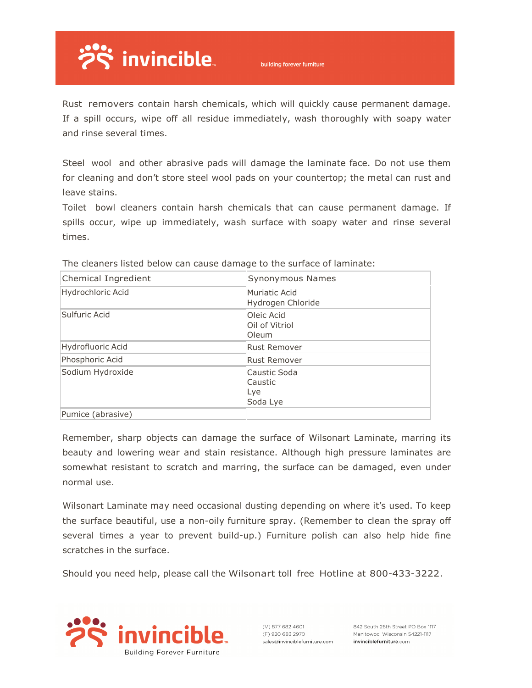

Rust removers contain harsh chemicals, which will quickly cause permanent damage. If a spill occurs, wipe off all residue immediately, wash thoroughly with soapy water and rinse several times.

Steel wool and other abrasive pads will damage the laminate face. Do not use them for cleaning and don't store steel wool pads on your countertop; the metal can rust and leave stains.

Toilet bowl cleaners contain harsh chemicals that can cause permanent damage. If spills occur, wipe up immediately, wash surface with soapy water and rinse several times.

| Chemical Ingredient | Synonymous Names                           |
|---------------------|--------------------------------------------|
| Hydrochloric Acid   | Muriatic Acid<br>Hydrogen Chloride         |
| Sulfuric Acid       | Oleic Acid<br>Oil of Vitriol<br>Oleum      |
| Hydrofluoric Acid   | <b>Rust Remover</b>                        |
| Phosphoric Acid     | <b>Rust Remover</b>                        |
| Sodium Hydroxide    | Caustic Soda<br>Caustic<br>Lye<br>Soda Lye |
| Pumice (abrasive)   |                                            |

The cleaners listed below can cause damage to the surface of laminate:

Remember, sharp objects can damage the surface of Wilsonart Laminate, marring its beauty and lowering wear and stain resistance. Although high pressure laminates are somewhat resistant to scratch and marring, the surface can be damaged, even under normal use.

Wilsonart Laminate may need occasional dusting depending on where it's used. To keep the surface beautiful, use a non-oily furniture spray. (Remember to clean the spray off several times a year to prevent build-up.) Furniture polish can also help hide fine scratches in the surface.

Should you need help, please call the Wilsonart toll free Hotline at 800-433-3222.



(V) 877 682 4601 (E) 920 683 2970 sales@invinciblefurniture.com